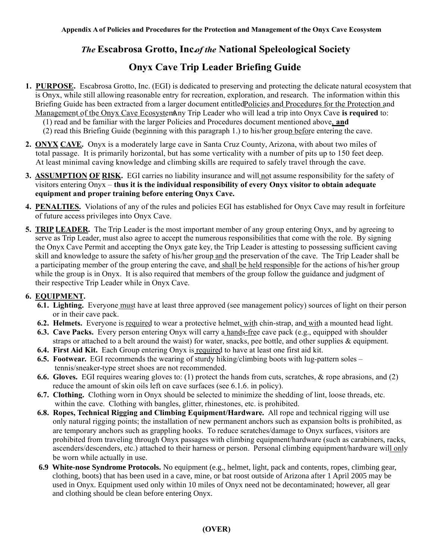## **The Escabrosa Grotto, Incof the National Speleological Society**

## **Onyx Cave Trip Leader Briefing Guide**

- **1. PURPOSE.** Escabrosa Grotto, Inc. (EGI) is dedicated to preserving and protecting the delicate natural ecosystem that is Onyx, while still allowing reasonable entry for recreation, exploration, and research. The information within this Briefing Guide has been extracted from a larger document entitled Policies and Procedures for the Protection and Management of the Onyx Cave EcosystemAny Trip Leader who will lead a trip into Onyx Cave is required to:
	- (1) read and be familiar with the larger Policies and Procedures document mentioned above, **and**
	- $(2)$  read this Briefing Guide (beginning with this paragraph 1.) to his/her group before entering the cave.
- **2. ONYX CAVE.** Onyx is a moderately large cave in Santa Cruz County, Arizona, with about two miles of total passage. It is primarily horizontal, but has some verticality with a number of pits up to 150 feet deep. At least minimal caving knowledge and climbing skills are required to safely travel through the cave.
- **3. ASSUMPTION OF RISK.** EGI carries no liability insurance and will not assume responsibility for the safety of visitors entering Onyx – **thus it is the individual responsibility of every Onyx visitor to obtain adequate equipment and proper training before entering Onyx Cave.**
- **4. PENALTIES.** Violations of any of the rules and policies EGI has established for Onyx Cave may result in forfeiture of future access privileges into Onyx Cave.
- **5. TRIP LEADER.** The Trip Leader is the most important member of any group entering Onyx, and by agreeing to serve as Trip Leader, must also agree to accept the numerous responsibilities that come with the role. By signing the Onyx Cave Permit and accepting the Onyx gate key, the Trip Leader is attesting to possessing sufficient caving skill and knowledge to assure the safety of his/her group and the preservation of the cave. The Trip Leader shall be a participating member of the group entering the cave, and shall be held responsible for the actions of his/her group while the group is in Onyx. It is also required that members of the group follow the guidance and judgment of their respective Trip Leader while in Onyx Cave.

## **6. EQUIPMENT.**

- **6.1. Lighting.** Everyone must have at least three approved (see management policy) sources of light on their person or in their cave pack.
- **6.2. Helmets.** Everyone is required to wear a protective helmet, with chin-strap, and with a mounted head light.
- **6.3. Cave Packs.** Every person entering Onyx will carry a hands-free cave pack (e.g., equipped with shoulder straps or attached to a belt around the waist) for water, snacks, pee bottle, and other supplies & equipment.
- **6.4. First Aid Kit.** Each Group entering Onyx is required to have at least one first aid kit.
- **6.5. Footwear.** EGI recommends the wearing of sturdy hiking/climbing boots with lug-pattern soles tennis/sneaker-type street shoes are not recommended.
- **6.6. Gloves.** EGI requires wearing gloves to: (1) protect the hands from cuts, scratches, & rope abrasions, and (2) reduce the amount of skin oils left on cave surfaces (see 6.1.6. in policy).
- **6.7. Clothing.** Clothing worn in Onyx should be selected to minimize the shedding of lint, loose threads, etc. within the cave. Clothing with bangles, glitter, rhinestones, etc. is prohibited.
- **6.8. Ropes, Technical Rigging and Climbing Equipment/Hardware.** All rope and technical rigging will use only natural rigging points; the installation of new permanent anchors such as expansion bolts is prohibited, as are temporary anchors such as grappling hooks. To reduce scratches/damage to Onyx surfaces, visitors are prohibited from traveling through Onyx passages with climbing equipment/hardware (such as carabiners, racks, ascenders/descenders, etc.) attached to their harness or person. Personal climbing equipment/hardware will only be worn while actually in use.
- **6.9 White-nose Syndrome Protocols.** No equipment (e.g., helmet, light, pack and contents, ropes, climbing gear, clothing, boots) that has been used in a cave, mine, or bat roost outside of Arizona after 1 April 2005 may be used in Onyx. Equipment used only within 10 miles of Onyx need not be decontaminated; however, all gear and clothing should be clean before entering Onyx.